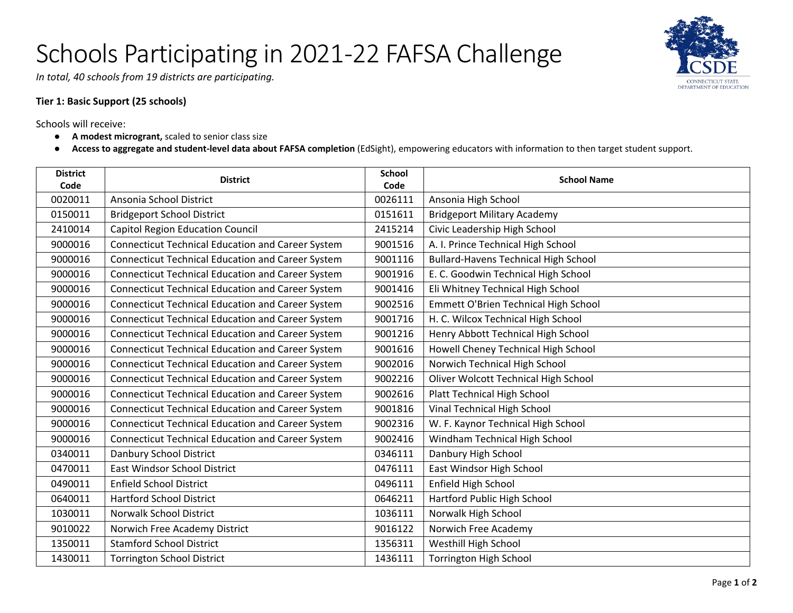## Schools Participating in 2021-22 FAFSA Challenge



*In total, 40 schools from 19 districts are participating.*

## **Tier 1: Basic Support (25 schools)**

Schools will receive:

- **A modest microgrant,** scaled to senior class size
- **Access to aggregate and student-level data about FAFSA completion** (EdSight), empowering educators with information to then target student support.

| <b>District</b><br>Code | <b>District</b>                                          | <b>School</b><br>Code | <b>School Name</b>                          |
|-------------------------|----------------------------------------------------------|-----------------------|---------------------------------------------|
| 0020011                 | Ansonia School District                                  | 0026111               | Ansonia High School                         |
| 0150011                 | <b>Bridgeport School District</b>                        | 0151611               | <b>Bridgeport Military Academy</b>          |
| 2410014                 | <b>Capitol Region Education Council</b>                  | 2415214               | Civic Leadership High School                |
| 9000016                 | Connecticut Technical Education and Career System        | 9001516               | A. I. Prince Technical High School          |
| 9000016                 | <b>Connecticut Technical Education and Career System</b> | 9001116               | <b>Bullard-Havens Technical High School</b> |
| 9000016                 | <b>Connecticut Technical Education and Career System</b> | 9001916               | E. C. Goodwin Technical High School         |
| 9000016                 | <b>Connecticut Technical Education and Career System</b> | 9001416               | Eli Whitney Technical High School           |
| 9000016                 | <b>Connecticut Technical Education and Career System</b> | 9002516               | Emmett O'Brien Technical High School        |
| 9000016                 | <b>Connecticut Technical Education and Career System</b> | 9001716               | H. C. Wilcox Technical High School          |
| 9000016                 | <b>Connecticut Technical Education and Career System</b> | 9001216               | Henry Abbott Technical High School          |
| 9000016                 | <b>Connecticut Technical Education and Career System</b> | 9001616               | Howell Cheney Technical High School         |
| 9000016                 | Connecticut Technical Education and Career System        | 9002016               | Norwich Technical High School               |
| 9000016                 | <b>Connecticut Technical Education and Career System</b> | 9002216               | Oliver Wolcott Technical High School        |
| 9000016                 | <b>Connecticut Technical Education and Career System</b> | 9002616               | Platt Technical High School                 |
| 9000016                 | <b>Connecticut Technical Education and Career System</b> | 9001816               | Vinal Technical High School                 |
| 9000016                 | <b>Connecticut Technical Education and Career System</b> | 9002316               | W. F. Kaynor Technical High School          |
| 9000016                 | <b>Connecticut Technical Education and Career System</b> | 9002416               | Windham Technical High School               |
| 0340011                 | Danbury School District                                  | 0346111               | Danbury High School                         |
| 0470011                 | <b>East Windsor School District</b>                      | 0476111               | East Windsor High School                    |
| 0490011                 | <b>Enfield School District</b>                           | 0496111               | Enfield High School                         |
| 0640011                 | <b>Hartford School District</b>                          | 0646211               | Hartford Public High School                 |
| 1030011                 | <b>Norwalk School District</b>                           | 1036111               | Norwalk High School                         |
| 9010022                 | Norwich Free Academy District                            | 9016122               | Norwich Free Academy                        |
| 1350011                 | <b>Stamford School District</b>                          | 1356311               | Westhill High School                        |
| 1430011                 | <b>Torrington School District</b>                        | 1436111               | <b>Torrington High School</b>               |